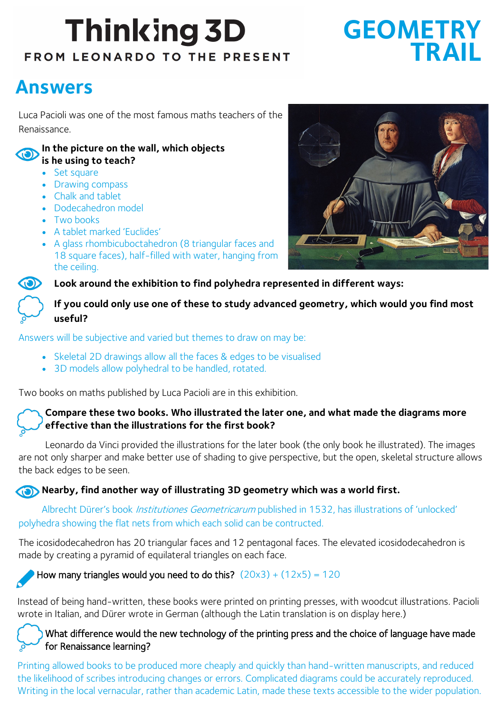# **Thinking 3D** FROM LEONARDO TO THE PRESENT

## **GEOMETRY TRAIL**

### **Answers**

Luca Pacioli was one of the most famous maths teachers of the Renaissance.

#### **In the picture on the wall, which objects is he using to teach?**

- Set square
- Drawing compass
- Chalk and tablet
- Dodecahedron model
- Two books
- A tablet marked 'Euclides'
- A glass rhombicuboctahedron (8 triangular faces and 18 square faces), half-filled with water, hanging from the ceiling.



**Look around the exhibition to find polyhedra represented in different ways:**

#### **If you could only use one of these to study advanced geometry, which would you find most useful?**

Answers will be subjective and varied but themes to draw on may be:

- Skeletal 2D drawings allow all the faces & edges to be visualised
- 3D models allow polyhedral to be handled, rotated.

Two books on maths published by Luca Pacioli are in this exhibition.

#### **Compare these two books. Who illustrated the later one, and what made the diagrams more effective than the illustrations for the first book?**

Leonardo da Vinci provided the illustrations for the later book (the only book he illustrated). The images are not only sharper and make better use of shading to give perspective, but the open, skeletal structure allows the back edges to be seen.

#### **Nearby, find another way of illustrating 3D geometry which was a world first.**

Albrecht Dürer's book *Institutiones Geometricarum* published in 1532, has illustrations of 'unlocked' polyhedra showing the flat nets from which each solid can be contructed.

The icosidodecahedron has 20 triangular faces and 12 pentagonal faces. The elevated icosidodecahedron is made by creating a pyramid of equilateral triangles on each face.

### How many triangles would you need to do this?  $(20x3) + (12x5) = 120$

Instead of being hand-written, these books were printed on printing presses, with woodcut illustrations. Pacioli wrote in Italian, and Dürer wrote in German (although the Latin translation is on display here.)

#### What difference would the new technology of the printing press and the choice of language have made for Renaissance learning?

Printing allowed books to be produced more cheaply and quickly than hand-written manuscripts, and reduced the likelihood of scribes introducing changes or errors. Complicated diagrams could be accurately reproduced. Writing in the local vernacular, rather than academic Latin, made these texts accessible to the wider population.